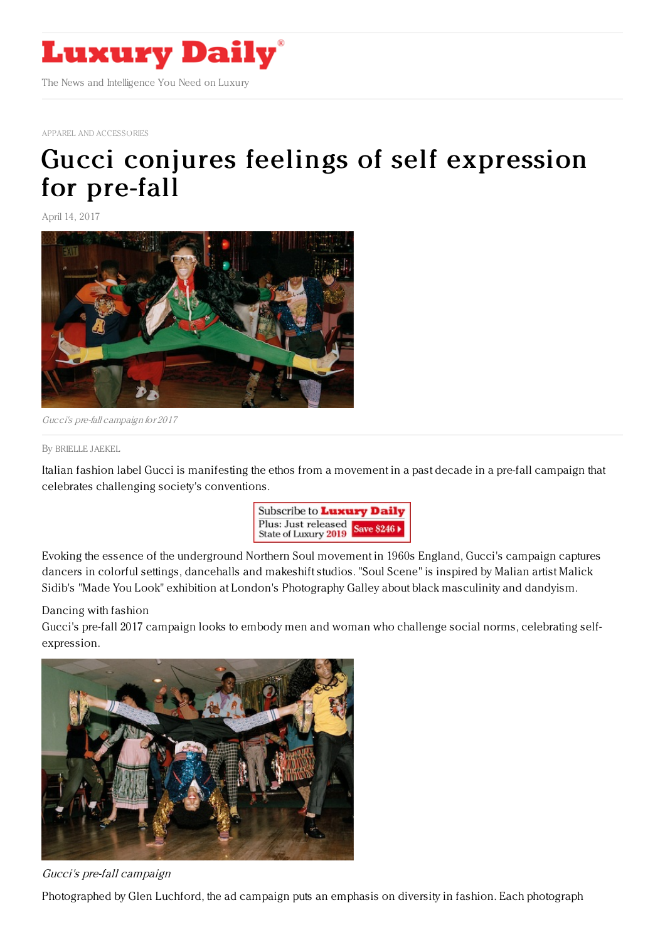

APPAREL AND [ACCESSORIES](https://www.luxurydaily.com/category/apparelandaccessories)

## Gucci conjures feelings of self [expression](https://www.luxurydaily.com/gucci-conjures-feelings-of-self-expression-for-pre-fall/) for pre-fall

April 14, 2017



Gucci's pre-fall campaign for 2017

By [BRIELLE](file:///author/brielle-jaekel) JAEKEL

Italian fashion label Gucci is manifesting the ethos from a movement in a past decade in a pre-fall campaign that celebrates challenging society's conventions.



Evoking the essence of the underground Northern Soul movement in 1960s England, Gucci's campaign captures dancers in colorful settings, dancehalls and makeshift studios. "Soul Scene" is inspired by Malian artist Malick Sidib's "Made You Look" exhibition at London's Photography Galley about black masculinity and dandyism.

## Dancing with fashion

Gucci's pre-fall 2017 campaign looks to embody men and woman who challenge social norms, celebrating selfexpression.



Gucci's pre-fall campaign

Photographed by Glen Luchford, the ad campaign puts an emphasis on diversity in fashion. Each photograph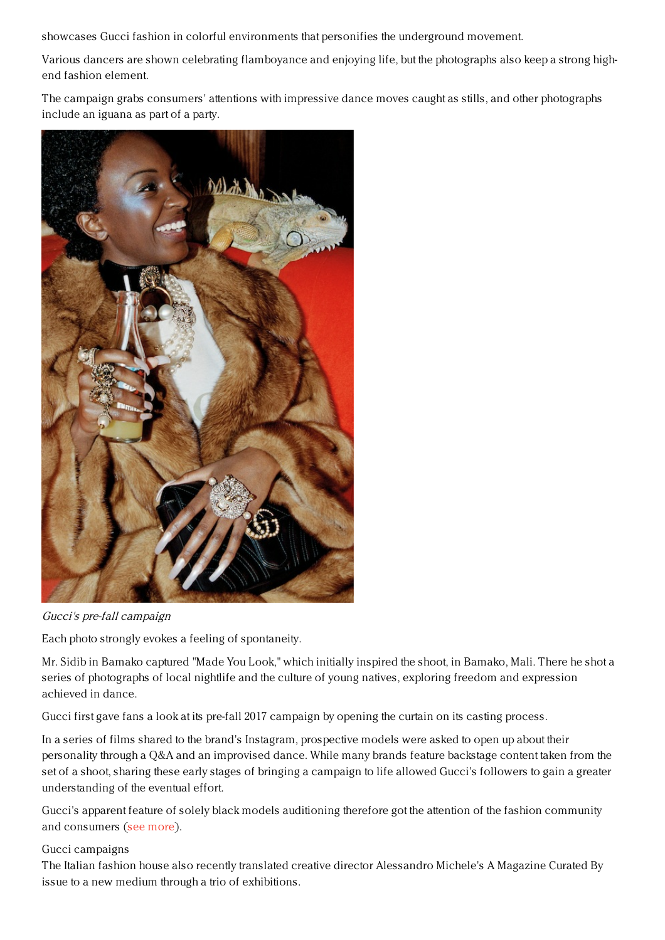showcases Gucci fashion in colorful environments that personifies the underground movement.

Various dancers are shown celebrating flamboyance and enjoying life, but the photographs also keep a strong highend fashion element.

The campaign grabs consumers' attentions with impressive dance moves caught as stills, and other photographs include an iguana as part of a party.



Gucci's pre-fall campaign

Each photo strongly evokes a feeling of spontaneity.

Mr. Sidib in Bamako captured "Made You Look," which initially inspired the shoot, in Bamako, Mali. There he shot a series of photographs of local nightlife and the culture of young natives, exploring freedom and expression achieved in dance.

Gucci first gave fans a look at its pre-fall 2017 campaign by opening the curtain on its casting process.

In a series of films shared to the brand's Instagram, prospective models were asked to open up about their personality through a Q&A and an improvised dance. While many brands feature backstage content taken from the set of a shoot, sharing these early stages of bringing a campaign to life allowed Gucci's followers to gain a greater understanding of the eventual effort.

Gucci's apparent feature of solely black models auditioning therefore got the attention of the fashion community and consumers (see [more](https://www.luxurydaily.com/gucci-makes-casting-call-public-to-tease-upcoming-ads/)).

## Gucci campaigns

The Italian fashion house also recently translated creative director Alessandro Michele's A Magazine Curated By issue to a new medium through a trio of exhibitions.